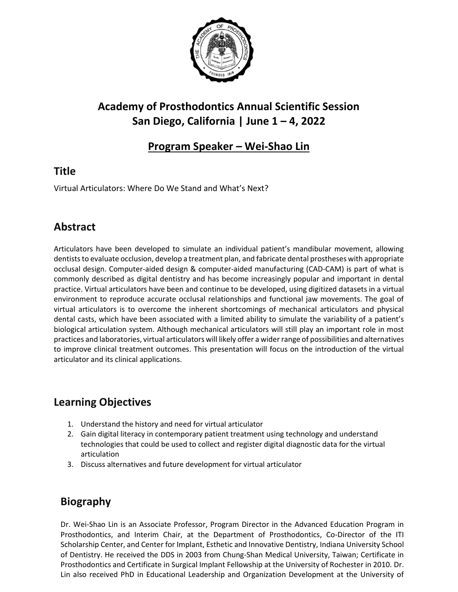

# **Academy of Prosthodontics Annual Scientific Session San Diego, California | June 1 – 4, 2022**

#### **Program Speaker – Wei-Shao Lin**

### **Title**

Virtual Articulators: Where Do We Stand and What's Next?

## **Abstract**

Articulators have been developed to simulate an individual patient's mandibular movement, allowing dentists to evaluate occlusion, develop a treatment plan, and fabricate dental prostheses with appropriate occlusal design. Computer-aided design & computer-aided manufacturing (CAD-CAM) is part of what is commonly described as digital dentistry and has become increasingly popular and important in dental practice. Virtual articulators have been and continue to be developed, using digitized datasets in a virtual environment to reproduce accurate occlusal relationships and functional jaw movements. The goal of virtual articulators is to overcome the inherent shortcomings of mechanical articulators and physical dental casts, which have been associated with a limited ability to simulate the variability of a patient's biological articulation system. Although mechanical articulators will still play an important role in most practices and laboratories, virtual articulators will likely offer a wider range of possibilities and alternatives to improve clinical treatment outcomes. This presentation will focus on the introduction of the virtual articulator and its clinical applications.

### **Learning Objectives**

- 1. Understand the history and need for virtual articulator
- 2. Gain digital literacy in contemporary patient treatment using technology and understand technologies that could be used to collect and register digital diagnostic data for the virtual articulation
- 3. Discuss alternatives and future development for virtual articulator

# **Biography**

Dr. Wei-Shao Lin is an Associate Professor, Program Director in the Advanced Education Program in Prosthodontics, and Interim Chair, at the Department of Prosthodontics, Co-Director of the ITI Scholarship Center, and Center for Implant, Esthetic and Innovative Dentistry, Indiana University School of Dentistry. He received the DDS in 2003 from Chung-Shan Medical University, Taiwan; Certificate in Prosthodontics and Certificate in Surgical Implant Fellowship at the University of Rochester in 2010. Dr. Lin also received PhD in Educational Leadership and Organization Development at the University of